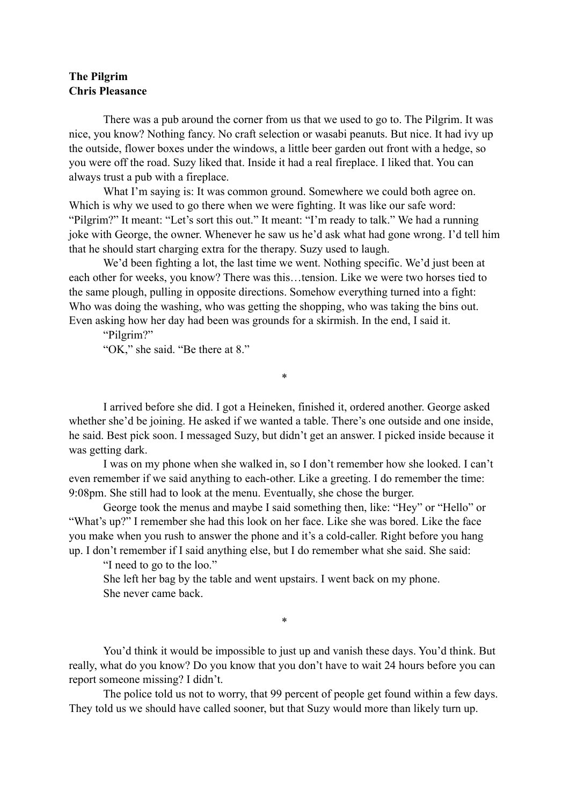## **The Pilgrim Chris Pleasance**

 There was a pub around the corner from us that we used to go to. The Pilgrim. It was nice, you know? Nothing fancy. No craft selection or wasabi peanuts. But nice. It had ivy up the outside, flower boxes under the windows, a little beer garden out front with a hedge, so you were off the road. Suzy liked that. Inside it had a real fireplace. I liked that. You can always trust a pub with a fireplace.

What I'm saying is: It was common ground. Somewhere we could both agree on. Which is why we used to go there when we were fighting. It was like our safe word: "Pilgrim?" It meant: "Let's sort this out." It meant: "I'm ready to talk." We had a running joke with George, the owner. Whenever he saw us he'd ask what had gone wrong. I'd tell him that he should start charging extra for the therapy. Suzy used to laugh.

 We'd been fighting a lot, the last time we went. Nothing specific. We'd just been at each other for weeks, you know? There was this…tension. Like we were two horses tied to the same plough, pulling in opposite directions. Somehow everything turned into a fight: Who was doing the washing, who was getting the shopping, who was taking the bins out. Even asking how her day had been was grounds for a skirmish. In the end, I said it.

"Pilgrim?"

"OK," she said. "Be there at 8."

 I arrived before she did. I got a Heineken, finished it, ordered another. George asked whether she'd be joining. He asked if we wanted a table. There's one outside and one inside, he said. Best pick soon. I messaged Suzy, but didn't get an answer. I picked inside because it was getting dark.

\*

 I was on my phone when she walked in, so I don't remember how she looked. I can't even remember if we said anything to each-other. Like a greeting. I do remember the time: 9:08pm. She still had to look at the menu. Eventually, she chose the burger.

 George took the menus and maybe I said something then, like: "Hey" or "Hello" or "What's up?" I remember she had this look on her face. Like she was bored. Like the face you make when you rush to answer the phone and it's a cold-caller. Right before you hang up. I don't remember if I said anything else, but I do remember what she said. She said:

"I need to go to the loo."

 She left her bag by the table and went upstairs. I went back on my phone. She never came back.

 You'd think it would be impossible to just up and vanish these days. You'd think. But really, what do you know? Do you know that you don't have to wait 24 hours before you can report someone missing? I didn't.

\*

The police told us not to worry, that 99 percent of people get found within a few days. They told us we should have called sooner, but that Suzy would more than likely turn up.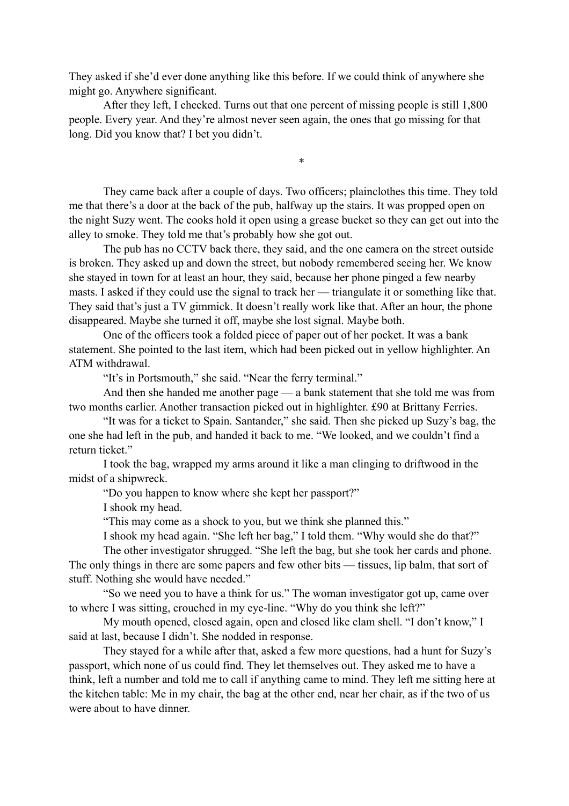They asked if she'd ever done anything like this before. If we could think of anywhere she might go. Anywhere significant.

After they left, I checked. Turns out that one percent of missing people is still 1,800 people. Every year. And they're almost never seen again, the ones that go missing for that long. Did you know that? I bet you didn't.

 They came back after a couple of days. Two officers; plainclothes this time. They told me that there's a door at the back of the pub, halfway up the stairs. It was propped open on the night Suzy went. The cooks hold it open using a grease bucket so they can get out into the alley to smoke. They told me that's probably how she got out.

\*

The pub has no CCTV back there, they said, and the one camera on the street outside is broken. They asked up and down the street, but nobody remembered seeing her. We know she stayed in town for at least an hour, they said, because her phone pinged a few nearby masts. I asked if they could use the signal to track her — triangulate it or something like that. They said that's just a TV gimmick. It doesn't really work like that. After an hour, the phone disappeared. Maybe she turned it off, maybe she lost signal. Maybe both.

One of the officers took a folded piece of paper out of her pocket. It was a bank statement. She pointed to the last item, which had been picked out in yellow highlighter. An ATM withdrawal.

"It's in Portsmouth," she said. "Near the ferry terminal."

And then she handed me another page — a bank statement that she told me was from two months earlier. Another transaction picked out in highlighter. £90 at Brittany Ferries.

"It was for a ticket to Spain. Santander," she said. Then she picked up Suzy's bag, the one she had left in the pub, and handed it back to me. "We looked, and we couldn't find a return ticket."

I took the bag, wrapped my arms around it like a man clinging to driftwood in the midst of a shipwreck.

"Do you happen to know where she kept her passport?"

I shook my head.

"This may come as a shock to you, but we think she planned this."

I shook my head again. "She left her bag," I told them. "Why would she do that?"

 The other investigator shrugged. "She left the bag, but she took her cards and phone. The only things in there are some papers and few other bits — tissues, lip balm, that sort of stuff. Nothing she would have needed."

 "So we need you to have a think for us." The woman investigator got up, came over to where I was sitting, crouched in my eye-line. "Why do you think she left?"

 My mouth opened, closed again, open and closed like clam shell. "I don't know," I said at last, because I didn't. She nodded in response.

 They stayed for a while after that, asked a few more questions, had a hunt for Suzy's passport, which none of us could find. They let themselves out. They asked me to have a think, left a number and told me to call if anything came to mind. They left me sitting here at the kitchen table: Me in my chair, the bag at the other end, near her chair, as if the two of us were about to have dinner.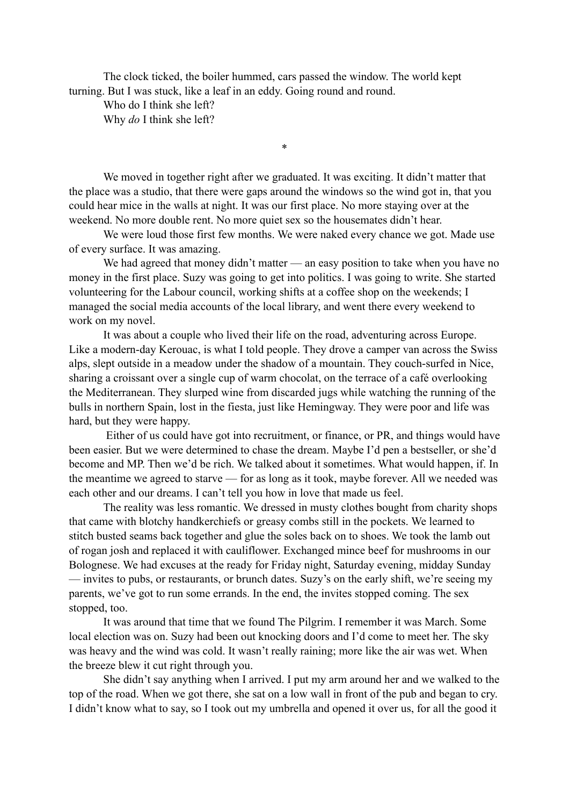The clock ticked, the boiler hummed, cars passed the window. The world kept turning. But I was stuck, like a leaf in an eddy. Going round and round.

 Who do I think she left? Why *do* I think she left?

 We moved in together right after we graduated. It was exciting. It didn't matter that the place was a studio, that there were gaps around the windows so the wind got in, that you could hear mice in the walls at night. It was our first place. No more staying over at the weekend. No more double rent. No more quiet sex so the housemates didn't hear.

\*

We were loud those first few months. We were naked every chance we got. Made use of every surface. It was amazing.

We had agreed that money didn't matter — an easy position to take when you have no money in the first place. Suzy was going to get into politics. I was going to write. She started volunteering for the Labour council, working shifts at a coffee shop on the weekends; I managed the social media accounts of the local library, and went there every weekend to work on my novel.

It was about a couple who lived their life on the road, adventuring across Europe. Like a modern-day Kerouac, is what I told people. They drove a camper van across the Swiss alps, slept outside in a meadow under the shadow of a mountain. They couch-surfed in Nice, sharing a croissant over a single cup of warm chocolat, on the terrace of a café overlooking the Mediterranean. They slurped wine from discarded jugs while watching the running of the bulls in northern Spain, lost in the fiesta, just like Hemingway. They were poor and life was hard, but they were happy.

 Either of us could have got into recruitment, or finance, or PR, and things would have been easier. But we were determined to chase the dream. Maybe I'd pen a bestseller, or she'd become and MP. Then we'd be rich. We talked about it sometimes. What would happen, if. In the meantime we agreed to starve — for as long as it took, maybe forever. All we needed was each other and our dreams. I can't tell you how in love that made us feel.

 The reality was less romantic. We dressed in musty clothes bought from charity shops that came with blotchy handkerchiefs or greasy combs still in the pockets. We learned to stitch busted seams back together and glue the soles back on to shoes. We took the lamb out of rogan josh and replaced it with cauliflower. Exchanged mince beef for mushrooms in our Bolognese. We had excuses at the ready for Friday night, Saturday evening, midday Sunday — invites to pubs, or restaurants, or brunch dates. Suzy's on the early shift, we're seeing my parents, we've got to run some errands. In the end, the invites stopped coming. The sex stopped, too.

 It was around that time that we found The Pilgrim. I remember it was March. Some local election was on. Suzy had been out knocking doors and I'd come to meet her. The sky was heavy and the wind was cold. It wasn't really raining; more like the air was wet. When the breeze blew it cut right through you.

She didn't say anything when I arrived. I put my arm around her and we walked to the top of the road. When we got there, she sat on a low wall in front of the pub and began to cry. I didn't know what to say, so I took out my umbrella and opened it over us, for all the good it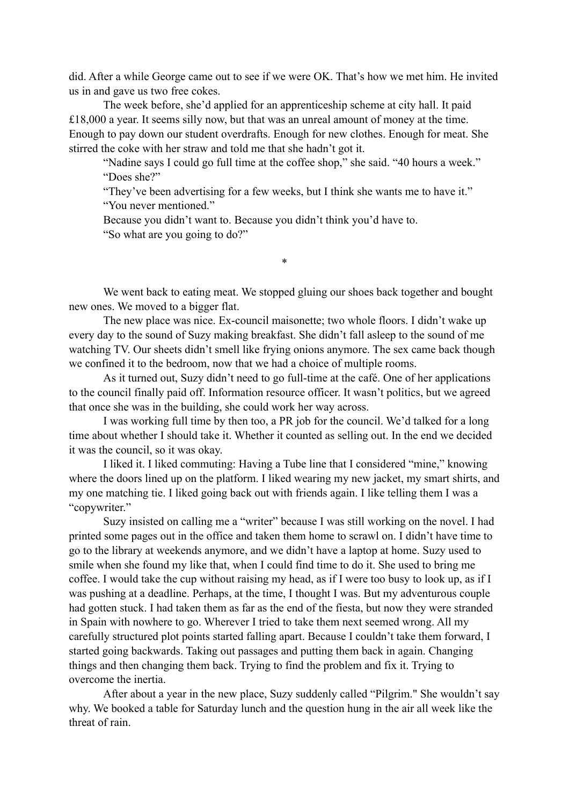did. After a while George came out to see if we were OK. That's how we met him. He invited us in and gave us two free cokes.

 The week before, she'd applied for an apprenticeship scheme at city hall. It paid £18,000 a year. It seems silly now, but that was an unreal amount of money at the time. Enough to pay down our student overdrafts. Enough for new clothes. Enough for meat. She stirred the coke with her straw and told me that she hadn't got it.

 "Nadine says I could go full time at the coffee shop," she said. "40 hours a week." "Does she?"

 "They've been advertising for a few weeks, but I think she wants me to have it." "You never mentioned."

Because you didn't want to. Because you didn't think you'd have to. "So what are you going to do?"

 We went back to eating meat. We stopped gluing our shoes back together and bought new ones. We moved to a bigger flat.

\*

 The new place was nice. Ex-council maisonette; two whole floors. I didn't wake up every day to the sound of Suzy making breakfast. She didn't fall asleep to the sound of me watching TV. Our sheets didn't smell like frying onions anymore. The sex came back though we confined it to the bedroom, now that we had a choice of multiple rooms.

 As it turned out, Suzy didn't need to go full-time at the café. One of her applications to the council finally paid off. Information resource officer. It wasn't politics, but we agreed that once she was in the building, she could work her way across.

 I was working full time by then too, a PR job for the council. We'd talked for a long time about whether I should take it. Whether it counted as selling out. In the end we decided it was the council, so it was okay.

I liked it. I liked commuting: Having a Tube line that I considered "mine," knowing where the doors lined up on the platform. I liked wearing my new jacket, my smart shirts, and my one matching tie. I liked going back out with friends again. I like telling them I was a "copywriter."

Suzy insisted on calling me a "writer" because I was still working on the novel. I had printed some pages out in the office and taken them home to scrawl on. I didn't have time to go to the library at weekends anymore, and we didn't have a laptop at home. Suzy used to smile when she found my like that, when I could find time to do it. She used to bring me coffee. I would take the cup without raising my head, as if I were too busy to look up, as if I was pushing at a deadline. Perhaps, at the time, I thought I was. But my adventurous couple had gotten stuck. I had taken them as far as the end of the fiesta, but now they were stranded in Spain with nowhere to go. Wherever I tried to take them next seemed wrong. All my carefully structured plot points started falling apart. Because I couldn't take them forward, I started going backwards. Taking out passages and putting them back in again. Changing things and then changing them back. Trying to find the problem and fix it. Trying to overcome the inertia.

After about a year in the new place, Suzy suddenly called "Pilgrim." She wouldn't say why. We booked a table for Saturday lunch and the question hung in the air all week like the threat of rain.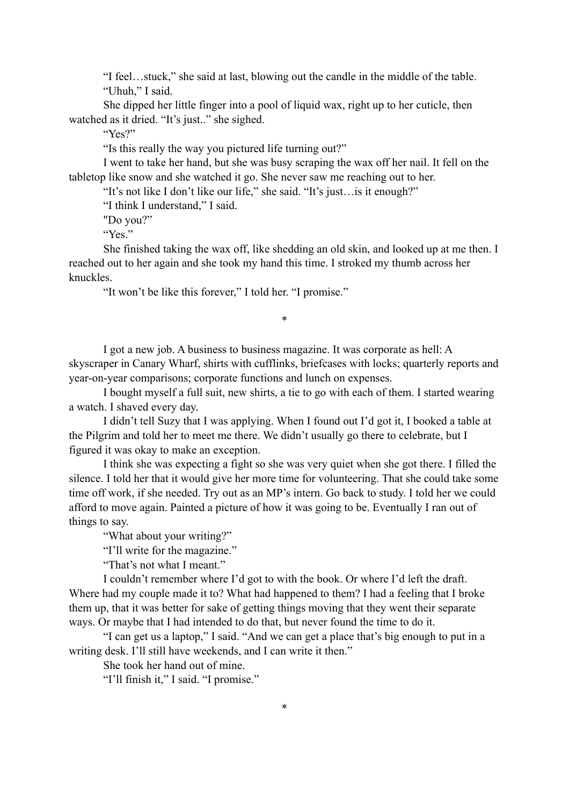"I feel…stuck," she said at last, blowing out the candle in the middle of the table. "Uhuh," I said.

 She dipped her little finger into a pool of liquid wax, right up to her cuticle, then watched as it dried. "It's just.." she sighed.

"Yes?"

"Is this really the way you pictured life turning out?"

 I went to take her hand, but she was busy scraping the wax off her nail. It fell on the tabletop like snow and she watched it go. She never saw me reaching out to her.

"It's not like I don't like our life," she said. "It's just…is it enough?"

"I think I understand," I said.

"Do you?"

"Yes."

 She finished taking the wax off, like shedding an old skin, and looked up at me then. I reached out to her again and she took my hand this time. I stroked my thumb across her knuckles.

"It won't be like this forever," I told her. "I promise."

\*

 I got a new job. A business to business magazine. It was corporate as hell: A skyscraper in Canary Wharf, shirts with cufflinks, briefcases with locks; quarterly reports and year-on-year comparisons; corporate functions and lunch on expenses.

I bought myself a full suit, new shirts, a tie to go with each of them. I started wearing a watch. I shaved every day.

 I didn't tell Suzy that I was applying. When I found out I'd got it, I booked a table at the Pilgrim and told her to meet me there. We didn't usually go there to celebrate, but I figured it was okay to make an exception.

I think she was expecting a fight so she was very quiet when she got there. I filled the silence. I told her that it would give her more time for volunteering. That she could take some time off work, if she needed. Try out as an MP's intern. Go back to study. I told her we could afford to move again. Painted a picture of how it was going to be. Eventually I ran out of things to say.

"What about your writing?"

"I'll write for the magazine."

"That's not what I meant."

 I couldn't remember where I'd got to with the book. Or where I'd left the draft. Where had my couple made it to? What had happened to them? I had a feeling that I broke them up, that it was better for sake of getting things moving that they went their separate ways. Or maybe that I had intended to do that, but never found the time to do it.

 "I can get us a laptop," I said. "And we can get a place that's big enough to put in a writing desk. I'll still have weekends, and I can write it then."

She took her hand out of mine.

"I'll finish it," I said. "I promise."